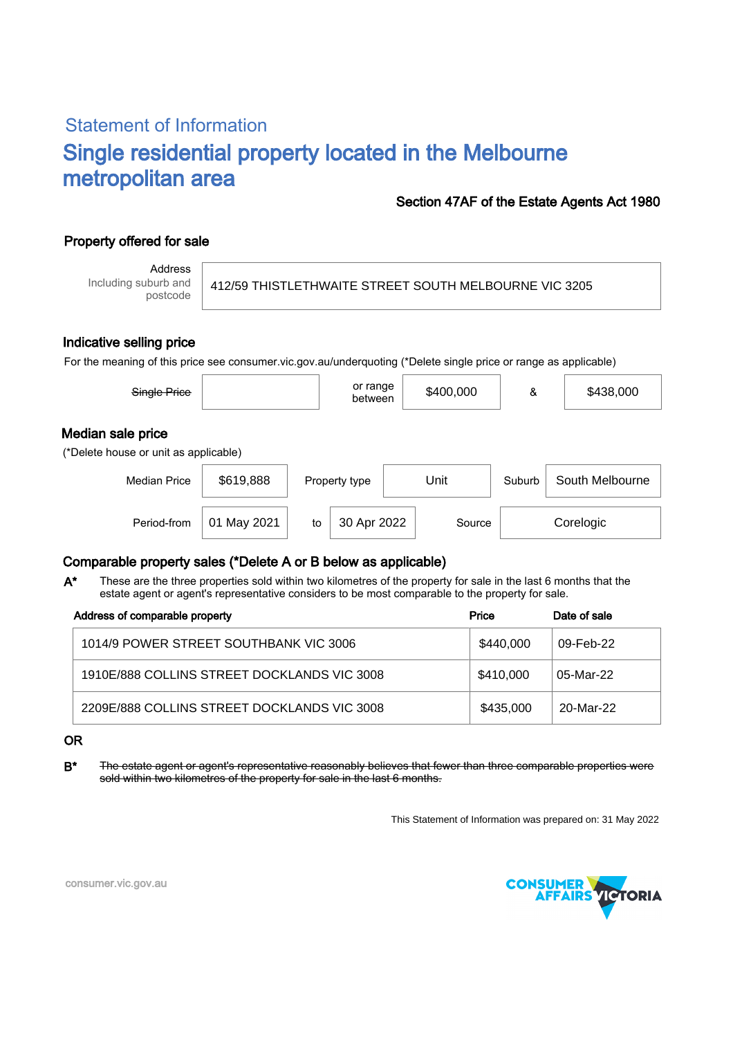# Statement of Information Single residential property located in the Melbourne metropolitan area

### Section 47AF of the Estate Agents Act 1980

## Property offered for sale

Address Including suburb and postcode

412/59 THISTLETHWAITE STREET SOUTH MELBOURNE VIC 3205

#### Indicative selling price

For the meaning of this price see consumer.vic.gov.au/underquoting (\*Delete single price or range as applicable)

| Single Price                                               |                |    | or range<br>between |      | \$400,000 | &      | \$438,000       |  |
|------------------------------------------------------------|----------------|----|---------------------|------|-----------|--------|-----------------|--|
| Median sale price<br>(*Delete house or unit as applicable) |                |    |                     |      |           |        |                 |  |
| <b>Median Price</b>                                        | \$619,888      |    | Property type       | Unit |           | Suburb | South Melbourne |  |
| Period-from                                                | May 2021<br>01 | to | 30 Apr 2022         |      | Source    |        | Corelogic       |  |

### Comparable property sales (\*Delete A or B below as applicable)

These are the three properties sold within two kilometres of the property for sale in the last 6 months that the estate agent or agent's representative considers to be most comparable to the property for sale. A\*

| Address of comparable property              | Price     | Date of sale |  |
|---------------------------------------------|-----------|--------------|--|
| 1014/9 POWER STREET SOUTHBANK VIC 3006      | \$440,000 | 09-Feb-22    |  |
| 1910E/888 COLLINS STREET DOCKLANDS VIC 3008 | \$410,000 | 05-Mar-22    |  |
| 2209E/888 COLLINS STREET DOCKLANDS VIC 3008 | \$435,000 | 20-Mar-22    |  |

#### OR

B<sup>\*</sup> The estate agent or agent's representative reasonably believes that fewer than three comparable properties were sold within two kilometres of the property for sale in the last 6 months.

This Statement of Information was prepared on: 31 May 2022



consumer.vic.gov.au